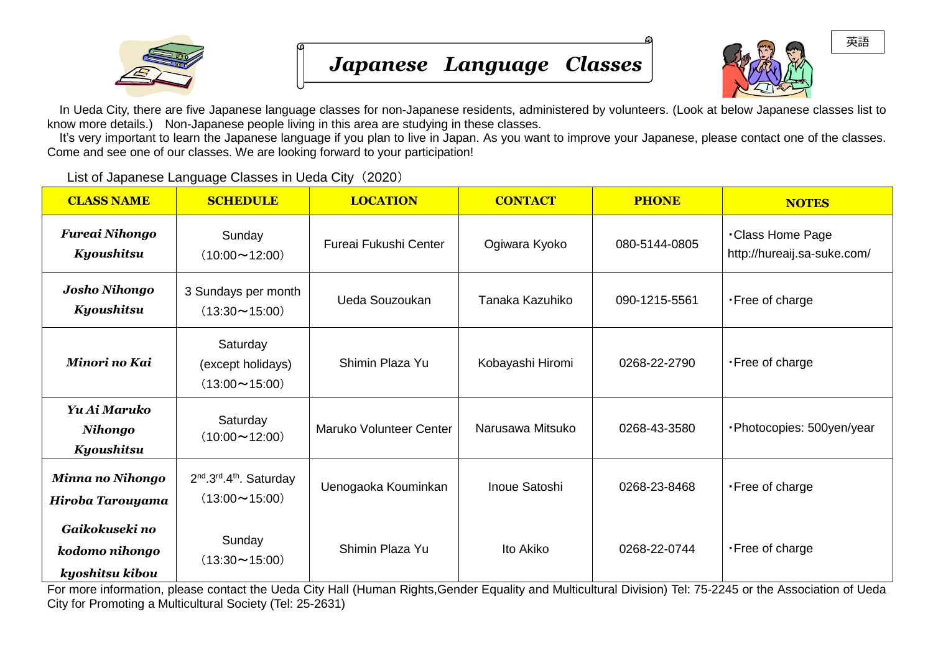



In Ueda City, there are five Japanese language classes for non-Japanese residents, administered by volunteers. (Look at below Japanese classes list to know more details.) Non-Japanese people living in this area are studying in these classes.

 It's very important to learn the Japanese language if you plan to live in Japan. As you want to improve your Japanese, please contact one of the classes. Come and see one of our classes. We are looking forward to your participation!

List of Japanese Language Classes in Ueda City (2020)

| <b>CLASS NAME</b>                                   | <b>SCHEDULE</b>                                                                      | <b>LOCATION</b>         | <b>CONTACT</b>   | <b>PHONE</b>  | <b>NOTES</b>                                          |
|-----------------------------------------------------|--------------------------------------------------------------------------------------|-------------------------|------------------|---------------|-------------------------------------------------------|
| <b>Fureai Nihongo</b><br>Kyoushitsu                 | Sunday<br>$(10:00 \sim 12:00)$                                                       | Fureai Fukushi Center   | Ogiwara Kyoko    | 080-5144-0805 | <b>Class Home Page</b><br>http://hureaij.sa-suke.com/ |
| <b>Josho Nihongo</b><br>Kyoushitsu                  | 3 Sundays per month<br>$(13:30 \sim 15:00)$                                          | Ueda Souzoukan          | Tanaka Kazuhiko  | 090-1215-5561 | • Free of charge                                      |
| Minori no Kai                                       | Saturday<br>(except holidays)<br>$(13:00 \sim 15:00)$                                | Shimin Plaza Yu         | Kobayashi Hiromi | 0268-22-2790  | . Free of charge                                      |
| Yu Ai Maruko<br>Nihongo<br>Kyoushitsu               | Saturday<br>$(10:00 \sim 12:00)$                                                     | Maruko Volunteer Center | Narusawa Mitsuko | 0268-43-3580  | ·Photocopies: 500yen/year                             |
| <b>Minna no Nihongo</b><br>Hiroba Tarouyama         | 2 <sup>nd</sup> .3 <sup>rd</sup> .4 <sup>th</sup> . Saturday<br>$(13:00 \sim 15:00)$ | Uenogaoka Kouminkan     | Inoue Satoshi    | 0268-23-8468  | . Free of charge                                      |
| Gaikokuseki no<br>kodomo nihongo<br>kyoshitsu kibou | Sunday<br>$(13:30 \sim 15:00)$                                                       | Shimin Plaza Yu         | Ito Akiko        | 0268-22-0744  | . Free of charge                                      |

For more information, please contact the Ueda City Hall (Human Rights,Gender Equality and Multicultural Division) Tel: 75-2245 or the Association of Ueda City for Promoting a Multicultural Society (Tel: 25-2631)

英語